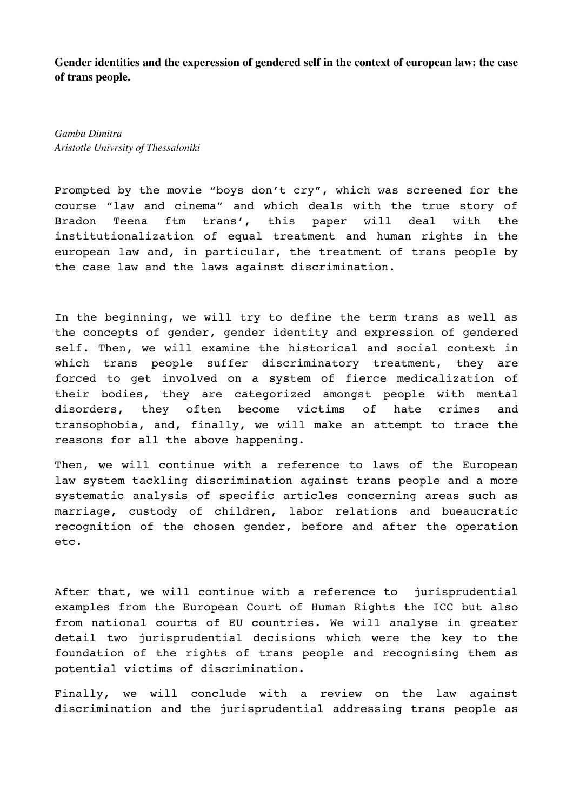**Gender identities and the experession of gendered self in the context of european law: the case of trans people.**

*Gamba Dimitra Aristotle Univrsity of Thessaloniki*

Prompted by the movie "boys don't cry", which was screened for the course "law and cinema" and which deals with the true story of Bradon Teena ftm trans', this paper will deal with the institutionalization of equal treatment and human rights in the european law and, in particular, the treatment of trans people by the case law and the laws against discrimination.

In the beginning, we will try to define the term trans as well as the concepts of gender, gender identity and expression of gendered self. Then, we will examine the historical and social context in which trans people suffer discriminatory treatment, they are forced to get involved on a system of fierce medicalization of their bodies, they are categorized amongst people with mental disorders, they often become victims of hate crimes and transophobia, and, finally, we will make an attempt to trace the reasons for all the above happening.

Then, we will continue with a reference to laws of the European law system tackling discrimination against trans people and a more systematic analysis of specific articles concerning areas such as marriage, custody of children, labor relations and bueaucratic recognition of the chosen gender, before and after the operation etc.

After that, we will continue with a reference to jurisprudential examples from the European Court of Human Rights the ICC but also from national courts of EU countries. We will analyse in greater detail two jurisprudential decisions which were the key to the foundation of the rights of trans people and recognising them as potential victims of discrimination.

Finally, we will conclude with a review on the law against discrimination and the jurisprudential addressing trans people as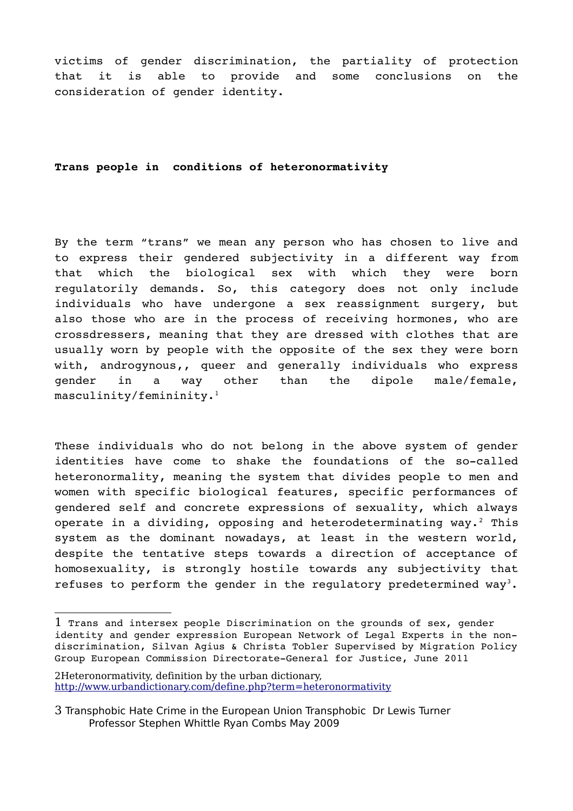victims of gender discrimination, the partiality of protection that it is able to provide and some conclusions on the consideration of gender identity.

**Trans people in conditions of heteronormativity**

By the term "trans" we mean any person who has chosen to live and to express their gendered subjectivity in a different way from that which the biological sex with which they were born regulatorily demands. So, this category does not only include individuals who have undergone a sex reassignment surgery, but also those who are in the process of receiving hormones, who are crossdressers, meaning that they are dressed with clothes that are usually worn by people with the opposite of the sex they were born with, androgynous,, queer and generally individuals who express gender in a way other than the dipole male/female, masculinity/femininity.[1](#page-1-0)

These individuals who do not belong in the above system of gender identities have come to shake the foundations of the so-called heteronormality, meaning the system that divides people to men and women with specific biological features, specific performances of gendered self and concrete expressions of sexuality, which always operate in a dividing, opposing and heterodeterminating way.<sup>[2](#page-1-1)</sup> This system as the dominant nowadays, at least in the western world, despite the tentative steps towards a direction of acceptance of homosexuality, is strongly hostile towards any subjectivity that refuses to perform the gender in the regulatory predetermined way<sup>[3](#page-1-2)</sup>.

<span id="page-1-0"></span><sup>1</sup> Trans and intersex people Discrimination on the grounds of sex, gender identity and gender expression European Network of Legal Experts in the nondiscrimination, Silvan Agius & Christa Tobler Supervised by Migration Policy Group European Commission Directorate-General for Justice, June 2011

<span id="page-1-1"></span><sup>2</sup>Heteronormativity, definition by the urban dictionary, <http://www.urbandictionary.com/define.php?term=heteronormativity>

<span id="page-1-2"></span><sup>3</sup> Transphobic Hate Crime in the European Union Transphobic Dr Lewis Turner Professor Stephen Whittle Ryan Combs May 2009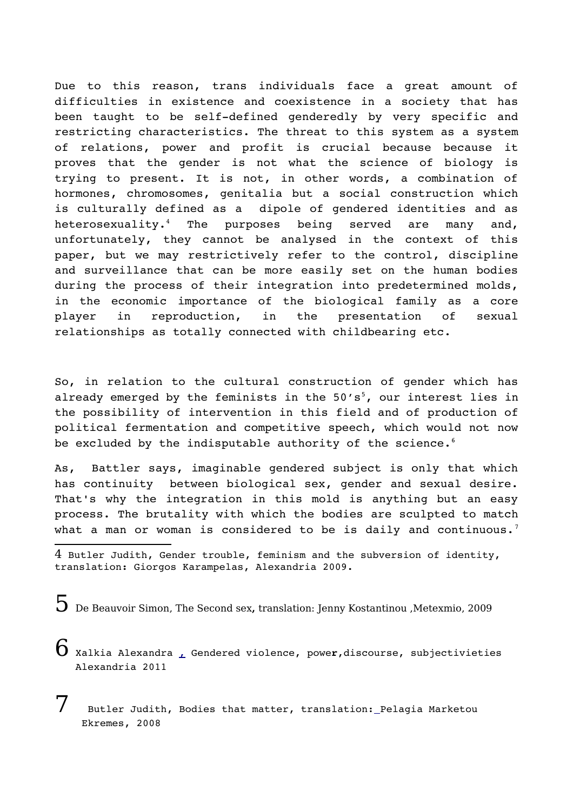Due to this reason, trans individuals face a great amount of difficulties in existence and coexistence in a society that has been taught to be self-defined genderedly by very specific and restricting characteristics. The threat to this system as a system of relations, power and profit is crucial because because it proves that the gender is not what the science of biology is trying to present. It is not, in other words, a combination of hormones, chromosomes, genitalia but a social construction which is culturally defined as a dipole of gendered identities and as heterosexuality.<sup>[4](#page-2-0)</sup> The purposes being served are many and, unfortunately, they cannot be analysed in the context of this paper, but we may restrictively refer to the control, discipline and surveillance that can be more easily set on the human bodies during the process of their integration into predetermined molds, in the economic importance of the biological family as a core player in reproduction, in the presentation of sexual relationships as totally connected with childbearing etc.

So, in relation to the cultural construction of gender which has already emerged by the feminists in the  $50's<sup>5</sup>$  $50's<sup>5</sup>$ , our interest lies in the possibility of intervention in this field and of production of political fermentation and competitive speech, which would not now be excluded by the indisputable authority of the science. $6$ 

As, Battler says, imaginable gendered subject is only that which has continuity between biological sex, gender and sexual desire. That's why the integration in this mold is anything but an easy process. The brutality with which the bodies are sculpted to match what a man or woman is considered to be is daily and continuous.<sup>[7](#page-2-3)</sup>

<span id="page-2-1"></span>5 De Beauvoir Simon, The Second sex**,** translation: Jenny Kostantinou ,Metexmio, 2009

<span id="page-2-2"></span> $\mathbf 6$  Xalkia Alexandra <sub>L</sub> Gendered violence, power,discourse, subjectivieties Alexandria 2011

<span id="page-2-3"></span>Butler Judith, Bodies that matter, translation: Pelagia Marketou Ekremes, 2008

<span id="page-2-0"></span><sup>4</sup> Butler Judith, Gender trouble, feminism and the subversion of identity, translation**:** Giorgos Karampelas, Alexandria 2009**.**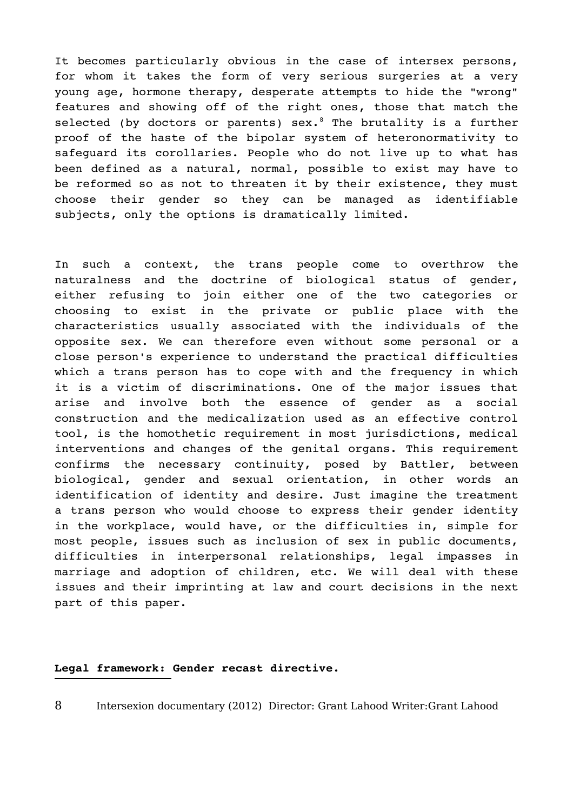It becomes particularly obvious in the case of intersex persons, for whom it takes the form of very serious surgeries at a very young age, hormone therapy, desperate attempts to hide the "wrong" features and showing off of the right ones, those that match the selected (by doctors or parents)  $sex.^{8}$  $sex.^{8}$  $sex.^{8}$  The brutality is a further proof of the haste of the bipolar system of heteronormativity to safeguard its corollaries. People who do not live up to what has been defined as a natural, normal, possible to exist may have to be reformed so as not to threaten it by their existence, they must choose their gender so they can be managed as identifiable subjects, only the options is dramatically limited.

In such a context, the trans people come to overthrow the naturalness and the doctrine of biological status of gender, either refusing to join either one of the two categories or choosing to exist in the private or public place with the characteristics usually associated with the individuals of the opposite sex. We can therefore even without some personal or a close person's experience to understand the practical difficulties which a trans person has to cope with and the frequency in which it is a victim of discriminations. One of the major issues that arise and involve both the essence of qender as a social construction and the medicalization used as an effective control tool, is the homothetic requirement in most jurisdictions, medical interventions and changes of the genital organs. This requirement confirms the necessary continuity, posed by Battler, between biological, gender and sexual orientation, in other words an identification of identity and desire. Just imagine the treatment a trans person who would choose to express their gender identity in the workplace, would have, or the difficulties in, simple for most people, issues such as inclusion of sex in public documents, difficulties in interpersonal relationships, legal impasses in marriage and adoption of children, etc. We will deal with these issues and their imprinting at law and court decisions in the next part of this paper.

## **Legal framework: Gender recast directive.**

<span id="page-3-0"></span>8 Intersexion documentary [\(2012\)](http://www.imdb.com/year/2012/?ref_=tt_ov_inf) Director: [Grant Lahood](http://www.imdb.com/name/nm0481606/?ref_=tt_ov_dr) Writer[:Grant Lahood](http://www.imdb.com/name/nm0481606/?ref_=tt_ov_wr)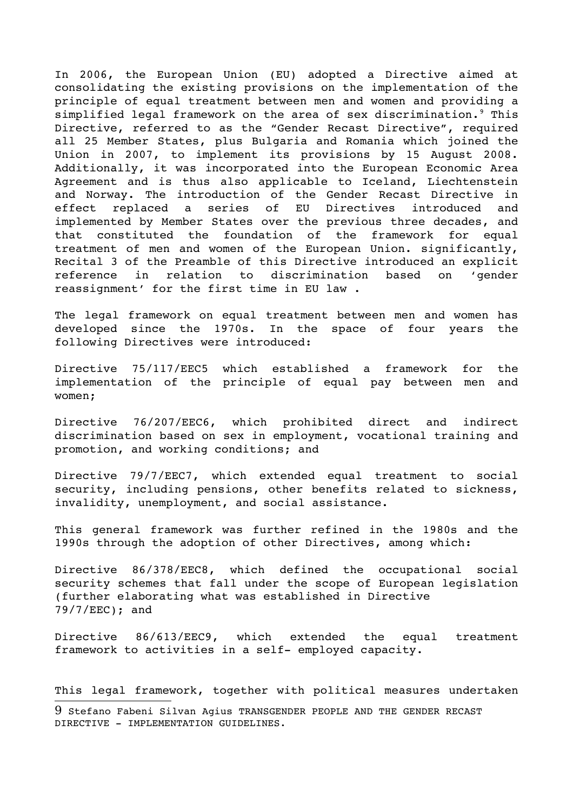In 2006, the European Union (EU) adopted a Directive aimed at consolidating the existing provisions on the implementation of the principle of equal treatment between men and women and providing a simplified legal framework on the area of sex discrimination.<sup>[9](#page-4-0)</sup> This Directive, referred to as the "Gender Recast Directive", required all 25 Member States, plus Bulgaria and Romania which joined the Union in 2007, to implement its provisions by 15 August 2008. Additionally, it was incorporated into the European Economic Area Agreement and is thus also applicable to Iceland, Liechtenstein and Norway. The introduction of the Gender Recast Directive in effect replaced a series of EU Directives introduced and implemented by Member States over the previous three decades, and that constituted the foundation of the framework for equal treatment of men and women of the European Union. significantly, Recital 3 of the Preamble of this Directive introduced an explicit reference in relation to discrimination based on 'gender reassignment' for the first time in EU law .

The legal framework on equal treatment between men and women has developed since the 1970s. In the space of four years the following Directives were introduced:

Directive 75/117/EEC5 which established a framework for the implementation of the principle of equal pay between men and women;

Directive 76/207/EEC6, which prohibited direct and indirect discrimination based on sex in employment, vocational training and promotion, and working conditions; and

Directive 79/7/EEC7, which extended equal treatment to social security, including pensions, other benefits related to sickness, invalidity, unemployment, and social assistance.

This general framework was further refined in the 1980s and the 1990s through the adoption of other Directives, among which:

Directive 86/378/EEC8, which defined the occupational social security schemes that fall under the scope of European legislation (further elaborating what was established in Directive 79/7/EEC); and

Directive 86/613/EEC9, which extended the equal treatment framework to activities in a self- employed capacity.

This legal framework, together with political measures undertaken

<span id="page-4-0"></span><sup>9</sup> Stefano Fabeni Silvan Agius TRANSGENDER PEOPLE AND THE GENDER RECAST DIRECTIVE - IMPLEMENTATION GUIDELINES.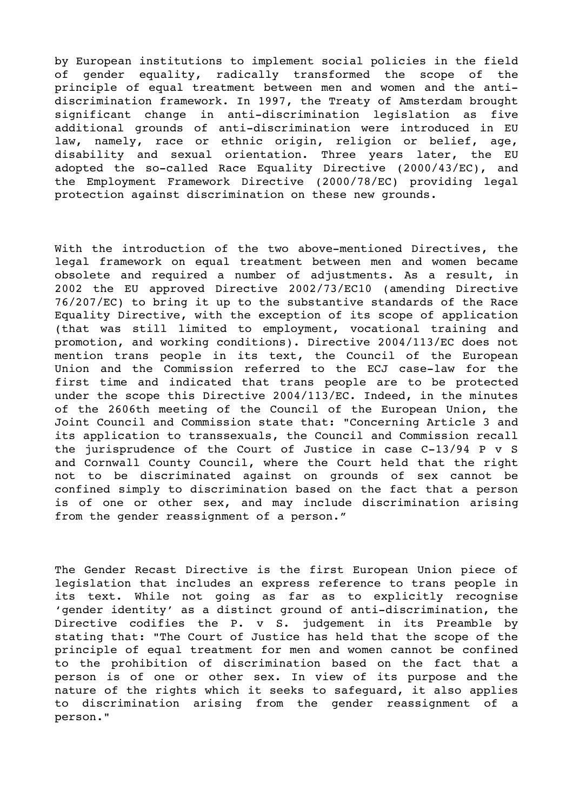by European institutions to implement social policies in the field of gender equality, radically transformed the scope of the principle of equal treatment between men and women and the antidiscrimination framework. In 1997, the Treaty of Amsterdam brought significant change in anti-discrimination legislation as five additional grounds of anti-discrimination were introduced in EU law, namely, race or ethnic origin, religion or belief, age, disability and sexual orientation. Three years later, the EU adopted the so-called Race Equality Directive (2000/43/EC), and the Employment Framework Directive (2000/78/EC) providing legal protection against discrimination on these new grounds.

With the introduction of the two above-mentioned Directives, the legal framework on equal treatment between men and women became obsolete and required a number of adjustments. As a result, in 2002 the EU approved Directive 2002/73/EC10 (amending Directive 76/207/EC) to bring it up to the substantive standards of the Race Equality Directive, with the exception of its scope of application (that was still limited to employment, vocational training and promotion, and working conditions). Directive 2004/113/EC does not mention trans people in its text, the Council of the European Union and the Commission referred to the ECJ case-law for the first time and indicated that trans people are to be protected under the scope this Directive 2004/113/EC. Indeed, in the minutes of the 2606th meeting of the Council of the European Union, the Joint Council and Commission state that: "Concerning Article 3 and its application to transsexuals, the Council and Commission recall the jurisprudence of the Court of Justice in case  $C-13/94$  P v S and Cornwall County Council, where the Court held that the right not to be discriminated against on grounds of sex cannot be confined simply to discrimination based on the fact that a person is of one or other sex, and may include discrimination arising from the gender reassignment of a person."

The Gender Recast Directive is the first European Union piece of legislation that includes an express reference to trans people in its text. While not going as far as to explicitly recognise 'gender identity' as a distinct ground of anti-discrimination, the Directive codifies the P. v S. judgement in its Preamble by stating that: "The Court of Justice has held that the scope of the principle of equal treatment for men and women cannot be confined to the prohibition of discrimination based on the fact that a person is of one or other sex. In view of its purpose and the nature of the rights which it seeks to safeguard, it also applies to discrimination arising from the gender reassignment of a person."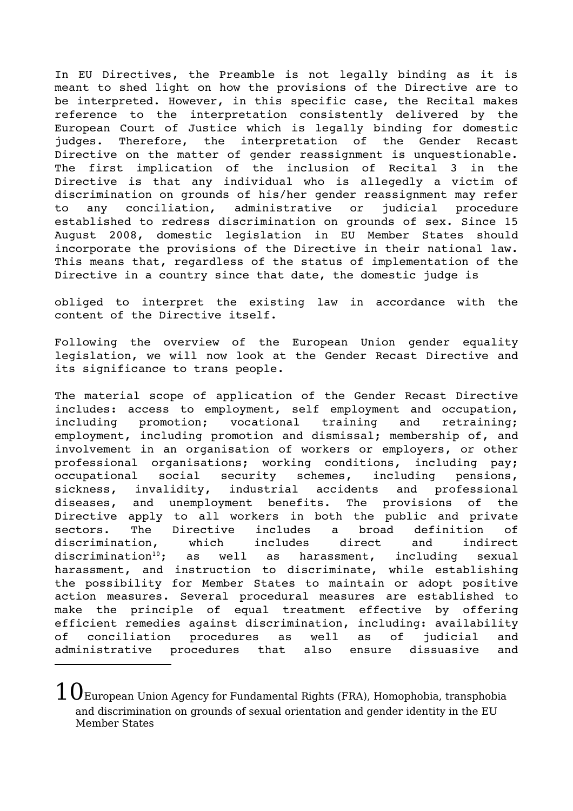In EU Directives, the Preamble is not legally binding as it is meant to shed light on how the provisions of the Directive are to be interpreted. However, in this specific case, the Recital makes reference to the interpretation consistently delivered by the European Court of Justice which is legally binding for domestic judges. Therefore, the interpretation of the Gender Recast Directive on the matter of gender reassignment is unquestionable. The first implication of the inclusion of Recital 3 in the Directive is that any individual who is allegedly a victim of discrimination on grounds of his/her gender reassignment may refer to any conciliation, administrative or judicial procedure established to redress discrimination on grounds of sex. Since 15 August 2008, domestic legislation in EU Member States should incorporate the provisions of the Directive in their national law. This means that, regardless of the status of implementation of the Directive in a country since that date, the domestic judge is

obliged to interpret the existing law in accordance with the content of the Directive itself.

Following the overview of the European Union gender equality legislation, we will now look at the Gender Recast Directive and its significance to trans people.

The material scope of application of the Gender Recast Directive includes: access to employment, self employment and occupation, including promotion; vocational training and retraining; employment, including promotion and dismissal; membership of, and involvement in an organisation of workers or employers, or other professional organisations; working conditions, including pay; occupational social security schemes, including pensions, sickness, invalidity, industrial accidents and professional diseases, and unemployment benefits. The provisions of the Directive apply to all workers in both the public and private sectors. The Directive includes a broad definition of discrimination, which includes direct and indirect discrimination<sup>[10](#page-6-0)</sup>; as well as harassment, including sexual harassment, and instruction to discriminate, while establishing the possibility for Member States to maintain or adopt positive action measures. Several procedural measures are established to make the principle of equal treatment effective by offering efficient remedies against discrimination, including: availability of conciliation procedures as well as of judicial and administrative procedures that also ensure dissuasive and

<span id="page-6-0"></span> $10\rm_{European}$  Union Agency for Fundamental Rights (FRA), Homophobia, transphobia and discrimination on grounds of sexual orientation and gender identity in the EU Member States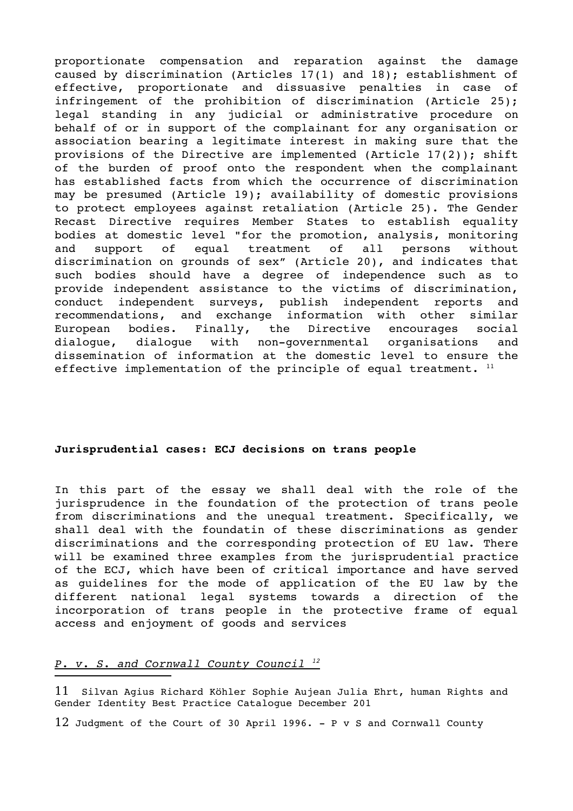proportionate compensation and reparation against the damage caused by discrimination (Articles 17(1) and 18); establishment of effective, proportionate and dissuasive penalties in case of infringement of the prohibition of discrimination (Article 25); legal standing in any judicial or administrative procedure on behalf of or in support of the complainant for any organisation or association bearing a legitimate interest in making sure that the provisions of the Directive are implemented (Article 17(2)); shift of the burden of proof onto the respondent when the complainant has established facts from which the occurrence of discrimination may be presumed (Article 19); availability of domestic provisions to protect employees against retaliation (Article 25). The Gender Recast Directive requires Member States to establish equality bodies at domestic level "for the promotion, analysis, monitoring and support of equal treatment of all persons without discrimination on grounds of sex" (Article 20), and indicates that such bodies should have a degree of independence such as to provide independent assistance to the victims of discrimination, conduct independent surveys, publish independent reports and recommendations, and exchange information with other similar European bodies. Finally, the Directive encourages social dialogue, dialogue with non-governmental organisations and dissemination of information at the domestic level to ensure the effective implementation of the principle of equal treatment.  $11$ 

## **Jurisprudential cases: ECJ decisions on trans people**

In this part of the essay we shall deal with the role of the jurisprudence in the foundation of the protection of trans peole from discriminations and the unequal treatment. Specifically, we shall deal with the foundatin of these discriminations as gender discriminations and the corresponding protection of EU law. There will be examined three examples from the jurisprudential practice of the ECJ, which have been of critical importance and have served as guidelines for the mode of application of the EU law by the different national legal systems towards a direction of the incorporation of trans people in the protective frame of equal access and enjoyment of goods and services

# *P. v. S. and Cornwall County Council <sup>12</sup>*

<span id="page-7-0"></span>11 Silvan Agius Richard Köhler Sophie Aujean Julia Ehrt, human Rights and Gender Identity Best Practice Catalogue December 201

<span id="page-7-1"></span>12 Judgment of the Court of 30 April 1996. P v S and Cornwall County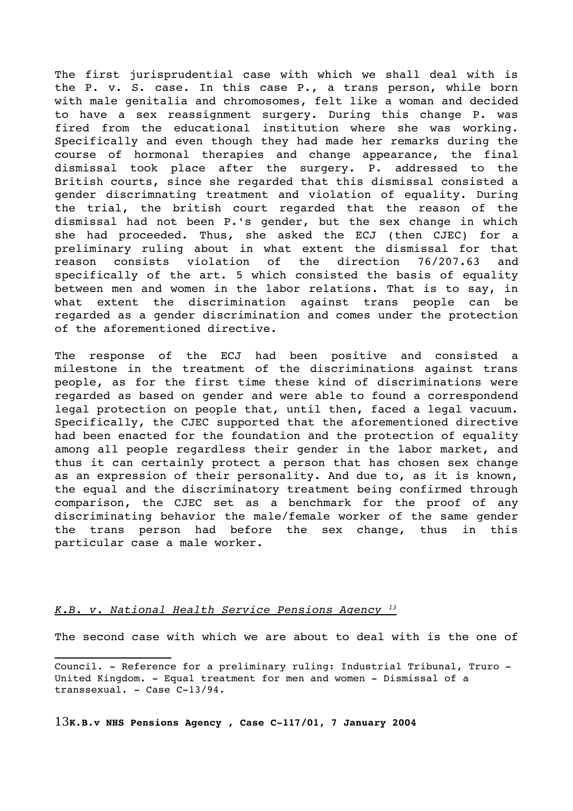The first jurisprudential case with which we shall deal with is the P. v. S. case. In this case P., a trans person, while born with male genitalia and chromosomes, felt like a woman and decided to have a sex reassignment surgery. During this change P. was fired from the educational institution where she was working. Specifically and even though they had made her remarks during the course of hormonal therapies and change appearance, the final dismissal took place after the surgery. P. addressed to the British courts, since she regarded that this dismissal consisted a gender discrimnating treatment and violation of equality. During the trial, the british court regarded that the reason of the dismissal had not been P.'s gender, but the sex change in which she had proceeded. Thus, she asked the ECJ (then CJEC) for a preliminary ruling about in what extent the dismissal for that reason consists violation of the direction 76/207.63 and specifically of the art. 5 which consisted the basis of equality between men and women in the labor relations. That is to say, in what extent the discrimination against trans people can be regarded as a gender discrimination and comes under the protection of the aforementioned directive.

The response of the ECJ had been positive and consisted a milestone in the treatment of the discriminations against trans people, as for the first time these kind of discriminations were regarded as based on gender and were able to found a correspondend legal protection on people that, until then, faced a legal vacuum. Specifically, the CJEC supported that the aforementioned directive had been enacted for the foundation and the protection of equality among all people regardless their gender in the labor market, and thus it can certainly protect a person that has chosen sex change as an expression of their personality. And due to, as it is known, the equal and the discriminatory treatment being confirmed through comparison, the CJEC set as a benchmark for the proof of any discriminating behavior the male/female worker of the same gender the trans person had before the sex change, thus in this particular case a male worker.

#### *K.B. v. National Health Service Pensions Agency <sup>13</sup>*

The second case with which we are about to deal with is the one of

Council. - Reference for a preliminary ruling: Industrial Tribunal, Truro -United Kingdom. - Equal treatment for men and women - Dismissal of a transsexual. - Case C-13/94.

<span id="page-8-0"></span>13**K.B.v NHS Pensions Agency , Case C117/01, 7 January 2004**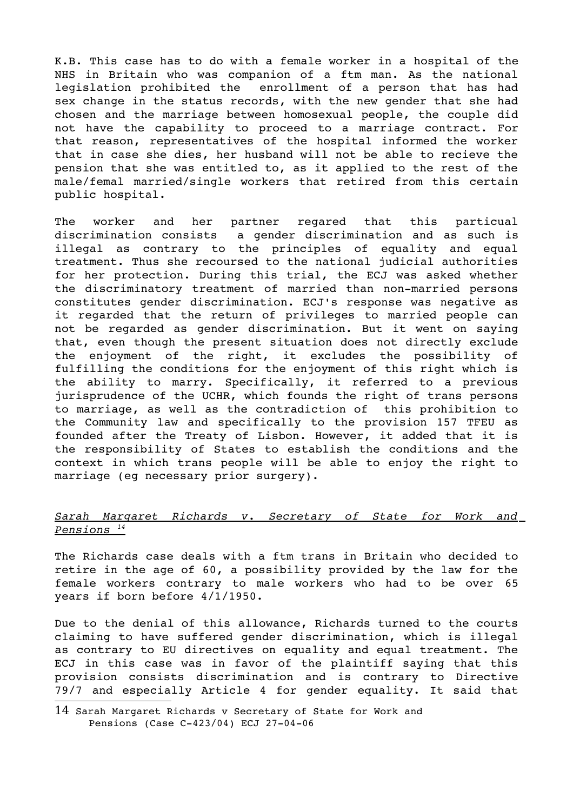K.B. This case has to do with a female worker in a hospital of the NHS in Britain who was companion of a ftm man. As the national legislation prohibited the enrollment of a person that has had sex change in the status records, with the new gender that she had chosen and the marriage between homosexual people, the couple did not have the capability to proceed to a marriage contract. For that reason, representatives of the hospital informed the worker that in case she dies, her husband will not be able to recieve the pension that she was entitled to, as it applied to the rest of the male/femal married/single workers that retired from this certain public hospital.

The worker and her partner regared that this particual discrimination consists a qender discrimination and as such is illegal as contrary to the principles of equality and equal treatment. Thus she recoursed to the national judicial authorities for her protection. During this trial, the ECJ was asked whether the discriminatory treatment of married than non-married persons constitutes gender discrimination. ECJ's response was negative as it regarded that the return of privileges to married people can not be regarded as gender discrimination. But it went on saying that, even though the present situation does not directly exclude the enjoyment of the right, it excludes the possibility of fulfilling the conditions for the enjoyment of this right which is the ability to marry. Specifically, it referred to a previous jurisprudence of the UCHR, which founds the right of trans persons to marriage, as well as the contradiction of this prohibition to the Community law and specifically to the provision 157 TFEU as founded after the Treaty of Lisbon. However, it added that it is the responsibility of States to establish the conditions and the context in which trans people will be able to enjoy the right to marriage (eg necessary prior surgery).

# *Sarah Margaret Richards v. Secretary of State for Work and Pensions <sup>14</sup>*

The Richards case deals with a ftm trans in Britain who decided to retire in the age of 60, a possibility provided by the law for the female workers contrary to male workers who had to be over 65 years if born before 4/1/1950.

Due to the denial of this allowance, Richards turned to the courts claiming to have suffered gender discrimination, which is illegal as contrary to EU directives on equality and equal treatment. The ECJ in this case was in favor of the plaintiff saying that this provision consists discrimination and is contrary to Directive 79/7 and especially Article 4 for gender equality. It said that

<span id="page-9-0"></span><sup>14</sup> Sarah Margaret Richards v Secretary of State for Work and Pensions (Case  $C-423/04$ ) ECJ 27-04-06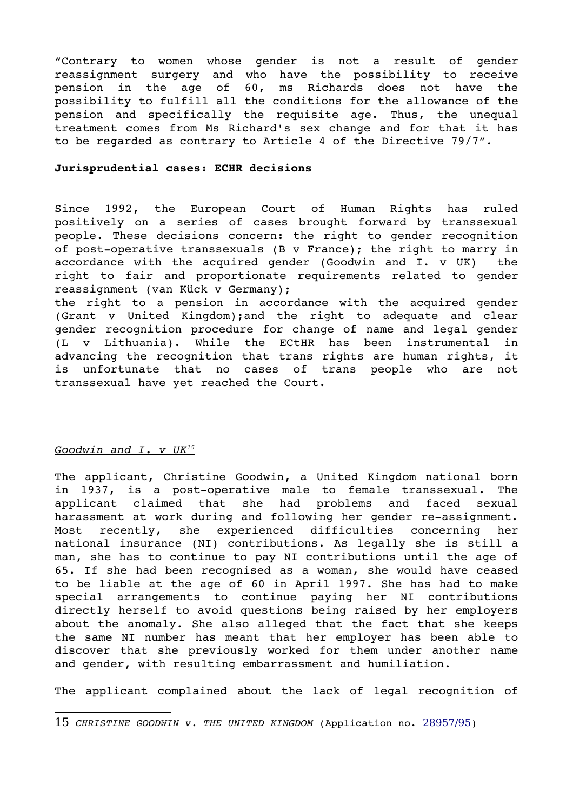"Contrary to women whose gender is not a result of gender reassignment surgery and who have the possibility to receive pension in the age of 60, ms Richards does not have the possibility to fulfill all the conditions for the allowance of the pension and specifically the requisite age. Thus, the unequal treatment comes from Ms Richard's sex change and for that it has to be regarded as contrary to Article 4 of the Directive 79/7".

#### **Jurisprudential cases: ECHR decisions**

Since 1992, the European Court of Human Rights has ruled positively on a series of cases brought forward by transsexual people. These decisions concern: the right to gender recognition of post-operative transsexuals (B v France); the right to marry in accordance with the acquired gender (Goodwin and I. v UK) the right to fair and proportionate requirements related to gender reassignment (van Kück v Germany);

the right to a pension in accordance with the acquired gender (Grant v United Kingdom); and the right to adequate and clear gender recognition procedure for change of name and legal gender (L v Lithuania). While the ECtHR has been instrumental in advancing the recognition that trans rights are human rights, it is unfortunate that no cases of trans people who are not transsexual have yet reached the Court.

#### *Goodwin and I. v UK<sup>15</sup>*

The applicant, Christine Goodwin, a United Kingdom national born in 1937, is a post-operative male to female transsexual. The applicant claimed that she had problems and faced sexual harassment at work during and following her gender re-assignment. Most recently, she experienced difficulties concerning her national insurance (NI) contributions. As legally she is still a man, she has to continue to pay NI contributions until the age of 65. If she had been recognised as a woman, she would have ceased to be liable at the age of 60 in April 1997. She has had to make special arrangements to continue paying her NI contributions directly herself to avoid questions being raised by her employers about the anomaly. She also alleged that the fact that she keeps the same NI number has meant that her employer has been able to discover that she previously worked for them under another name and gender, with resulting embarrassment and humiliation.

The applicant complained about the lack of legal recognition of

<span id="page-10-0"></span><sup>15</sup> *CHRISTINE GOODWIN v. THE UNITED KINGDOM* (Application no. [28957/95](http://hudoc.echr.coe.int/sites/eng/pages/search.aspx#%7B))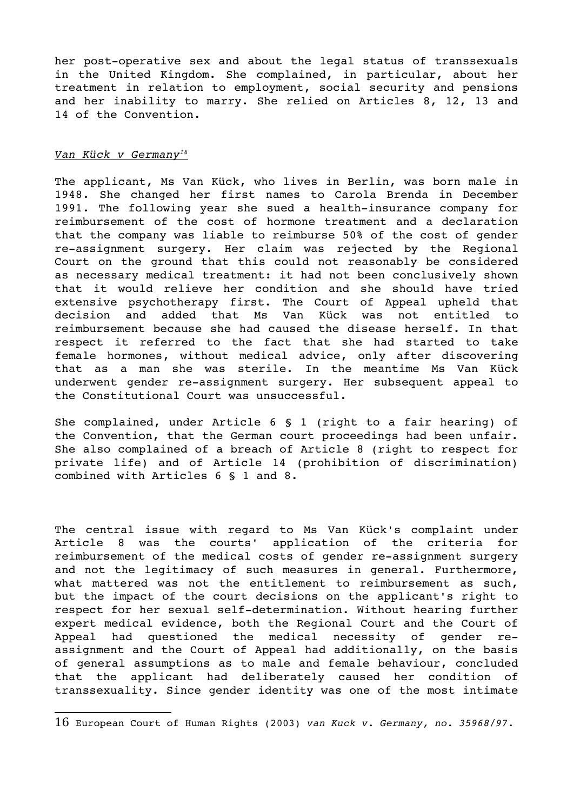her post-operative sex and about the legal status of transsexuals in the United Kingdom. She complained, in particular, about her treatment in relation to employment, social security and pensions and her inability to marry. She relied on Articles 8, 12, 13 and 14 of the Convention.

### *Van Kück v Germany<sup>16</sup>*

The applicant, Ms Van Kück, who lives in Berlin, was born male in 1948. She changed her first names to Carola Brenda in December 1991. The following year she sued a health-insurance company for reimbursement of the cost of hormone treatment and a declaration that the company was liable to reimburse 50% of the cost of gender re-assignment surgery. Her claim was rejected by the Regional Court on the ground that this could not reasonably be considered as necessary medical treatment: it had not been conclusively shown that it would relieve her condition and she should have tried extensive psychotherapy first. The Court of Appeal upheld that decision and added that Ms Van Kück was not entitled to reimbursement because she had caused the disease herself. In that respect it referred to the fact that she had started to take female hormones, without medical advice, only after discovering that as a man she was sterile. In the meantime Ms Van Kück underwent gender re-assignment surgery. Her subsequent appeal to the Constitutional Court was unsuccessful.

She complained, under Article 6 § 1 (right to a fair hearing) of the Convention, that the German court proceedings had been unfair. She also complained of a breach of Article 8 (right to respect for private life) and of Article 14 (prohibition of discrimination) combined with Articles 6 § 1 and 8.

The central issue with regard to Ms Van Kück's complaint under Article 8 was the courts' application of the criteria for reimbursement of the medical costs of gender re-assignment surgery and not the legitimacy of such measures in general. Furthermore, what mattered was not the entitlement to reimbursement as such, but the impact of the court decisions on the applicant's right to respect for her sexual self-determination. Without hearing further expert medical evidence, both the Regional Court and the Court of Appeal had questioned the medical necessity of gender reassignment and the Court of Appeal had additionally, on the basis of general assumptions as to male and female behaviour, concluded that the applicant had deliberately caused her condition of transsexuality. Since gender identity was one of the most intimate

<span id="page-11-0"></span><sup>16</sup> European Court of Human Rights (2003) *van Kuck v. Germany, no. 35968/97.*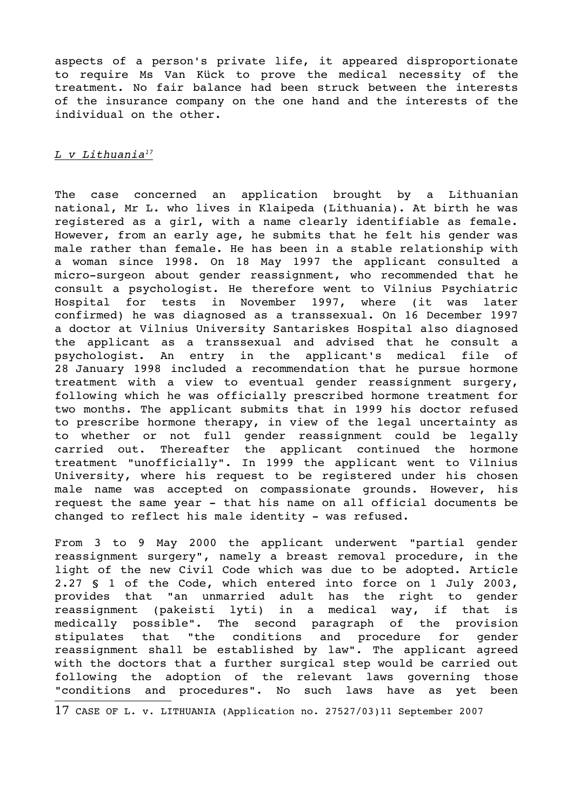aspects of a person's private life, it appeared disproportionate to require Ms Van Kück to prove the medical necessity of the treatment. No fair balance had been struck between the interests of the insurance company on the one hand and the interests of the individual on the other.

## *L v Lithuania<sup>17</sup>*

The case concerned an application brought by a Lithuanian national, Mr L. who lives in Klaipeda (Lithuania). At birth he was registered as a girl, with a name clearly identifiable as female. However, from an early age, he submits that he felt his gender was male rather than female. He has been in a stable relationship with a woman since 1998. On 18 May 1997 the applicant consulted a micro-surgeon about gender reassignment, who recommended that he consult a psychologist. He therefore went to Vilnius Psychiatric Hospital for tests in November 1997, where (it was later confirmed) he was diagnosed as a transsexual. On 16 December 1997 a doctor at Vilnius University Santariskes Hospital also diagnosed the applicant as a transsexual and advised that he consult a psychologist. An entry in the applicant's medical file of 28 January 1998 included a recommendation that he pursue hormone treatment with a view to eventual gender reassignment surgery, following which he was officially prescribed hormone treatment for two months. The applicant submits that in 1999 his doctor refused to prescribe hormone therapy, in view of the legal uncertainty as to whether or not full gender reassignment could be legally carried out. Thereafter the applicant continued the hormone treatment "unofficially". In 1999 the applicant went to Vilnius University, where his request to be registered under his chosen male name was accepted on compassionate grounds. However, his request the same year - that his name on all official documents be changed to reflect his male identity - was refused.

From 3 to 9 May 2000 the applicant underwent "partial gender reassignment surgery", namely a breast removal procedure, in the light of the new Civil Code which was due to be adopted. Article 2.27 § 1 of the Code, which entered into force on 1 July 2003, provides that "an unmarried adult has the right to gender reassignment (pakeisti lyti) in a medical way, if that is medically possible". The second paragraph of the provision stipulates that "the conditions and procedure for gender reassignment shall be established by law". The applicant agreed with the doctors that a further surgical step would be carried out following the adoption of the relevant laws governing those "conditions and procedures". No such laws have as yet been

<span id="page-12-0"></span><sup>17</sup> CASE OF L. v. LITHUANIA (Application no. 27527/03)11 September 2007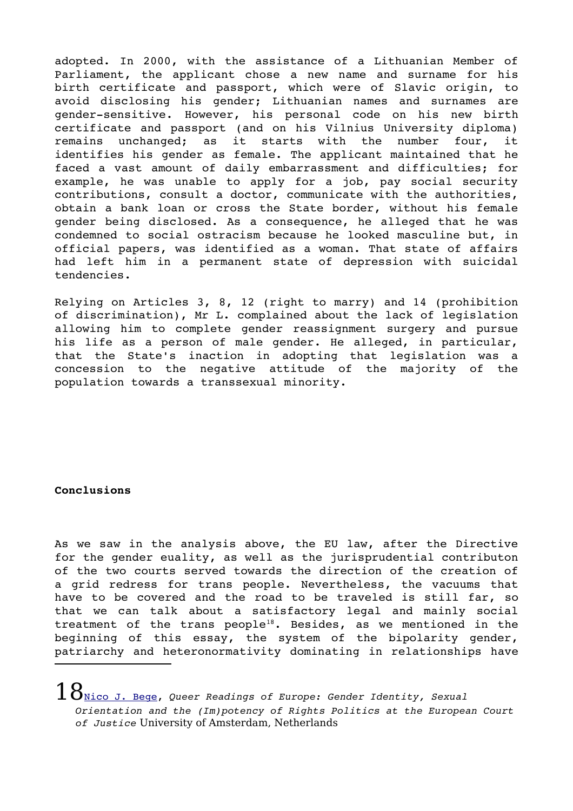adopted. In 2000, with the assistance of a Lithuanian Member of Parliament, the applicant chose a new name and surname for his birth certificate and passport, which were of Slavic origin, to avoid disclosing his gender; Lithuanian names and surnames are gender-sensitive. However, his personal code on his new birth certificate and passport (and on his Vilnius University diploma) remains unchanged; as it starts with the number four, it identifies his gender as female. The applicant maintained that he faced a vast amount of daily embarrassment and difficulties; for example, he was unable to apply for a job, pay social security contributions, consult a doctor, communicate with the authorities, obtain a bank loan or cross the State border, without his female gender being disclosed. As a consequence, he alleged that he was condemned to social ostracism because he looked masculine but, in official papers, was identified as a woman. That state of affairs had left him in a permanent state of depression with suicidal tendencies.

Relying on Articles 3, 8, 12 (right to marry) and 14 (prohibition of discrimination), Mr L. complained about the lack of legislation allowing him to complete gender reassignment surgery and pursue his life as a person of male gender. He alleged, in particular, that the State's inaction in adopting that legislation was a concession to the negative attitude of the majority of the population towards a transsexual minority.

# **Conclusions**

As we saw in the analysis above, the EU law, after the Directive for the gender euality, as well as the jurisprudential contributon of the two courts served towards the direction of the creation of a qrid redress for trans people. Nevertheless, the vacuums that have to be covered and the road to be traveled is still far, so that we can talk about a satisfactory legal and mainly social treatment of the trans people<sup>[18](#page-13-0)</sup>. Besides, as we mentioned in the beginning of this essay, the system of the bipolarity gender, patriarchy and heteronormativity dominating in relationships have

<span id="page-13-0"></span> $18$  $\rm _{Nico~J.~Bege}$ , Queer Readings of Europe: Gender Identity, Sexual *Orientation and the (Im)potency of Rights Politics at the European Court of Justice* University of Amsterdam, Netherlands